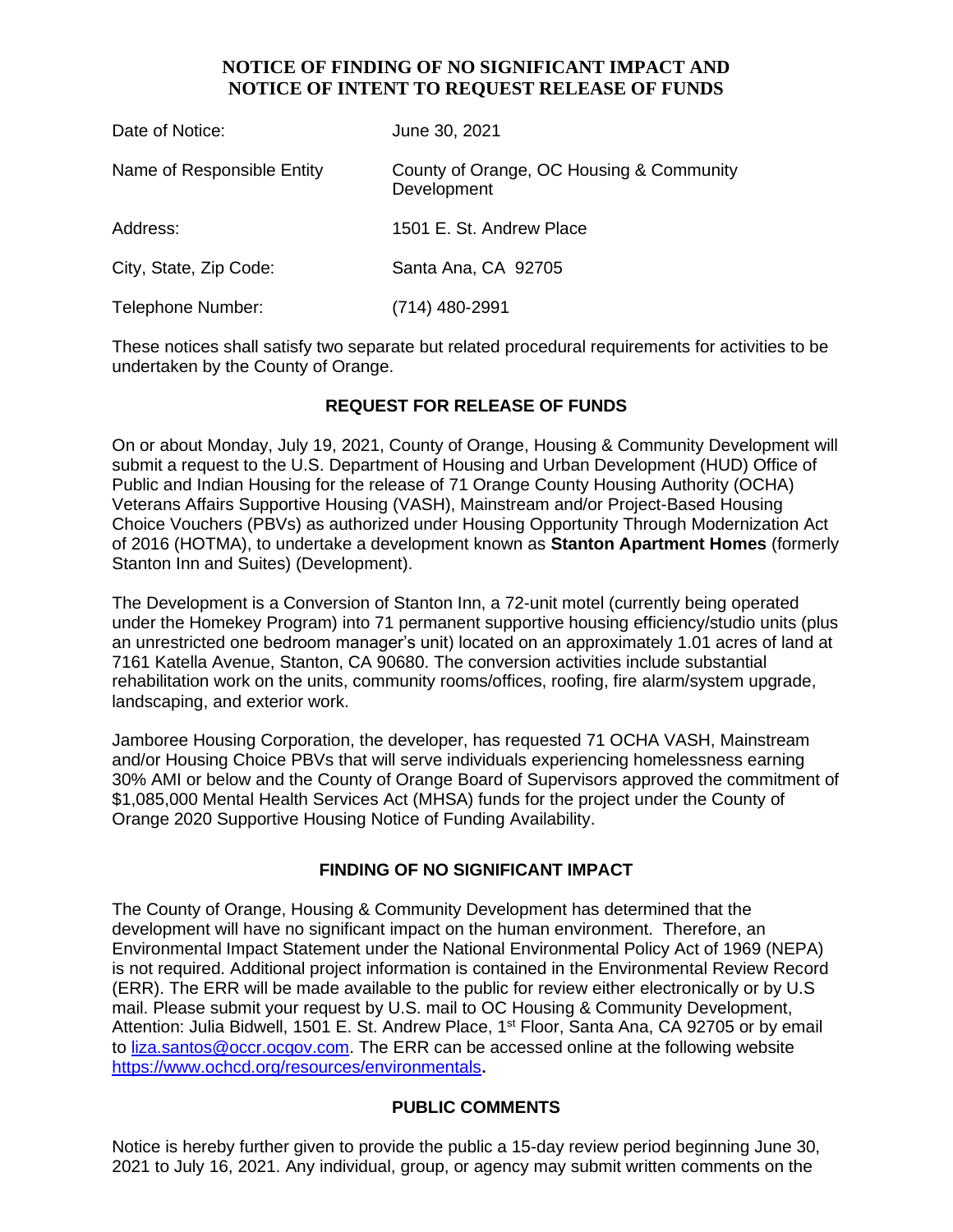### **NOTICE OF FINDING OF NO SIGNIFICANT IMPACT AND NOTICE OF INTENT TO REQUEST RELEASE OF FUNDS**

| Date of Notice:            | June 30, 2021                                           |
|----------------------------|---------------------------------------------------------|
| Name of Responsible Entity | County of Orange, OC Housing & Community<br>Development |
| Address:                   | 1501 E. St. Andrew Place                                |
| City, State, Zip Code:     | Santa Ana, CA 92705                                     |
| Telephone Number:          | $(714)$ 480-2991                                        |

These notices shall satisfy two separate but related procedural requirements for activities to be undertaken by the County of Orange.

## **REQUEST FOR RELEASE OF FUNDS**

On or about Monday, July 19, 2021, County of Orange, Housing & Community Development will submit a request to the U.S. Department of Housing and Urban Development (HUD) Office of Public and Indian Housing for the release of 71 Orange County Housing Authority (OCHA) Veterans Affairs Supportive Housing (VASH), Mainstream and/or Project-Based Housing Choice Vouchers (PBVs) as authorized under Housing Opportunity Through Modernization Act of 2016 (HOTMA), to undertake a development known as **Stanton Apartment Homes** (formerly Stanton Inn and Suites) (Development).

The Development is a Conversion of Stanton Inn, a 72-unit motel (currently being operated under the Homekey Program) into 71 permanent supportive housing efficiency/studio units (plus an unrestricted one bedroom manager's unit) located on an approximately 1.01 acres of land at 7161 Katella Avenue, Stanton, CA 90680. The conversion activities include substantial rehabilitation work on the units, community rooms/offices, roofing, fire alarm/system upgrade, landscaping, and exterior work.

Jamboree Housing Corporation, the developer, has requested 71 OCHA VASH, Mainstream and/or Housing Choice PBVs that will serve individuals experiencing homelessness earning 30% AMI or below and the County of Orange Board of Supervisors approved the commitment of \$1,085,000 Mental Health Services Act (MHSA) funds for the project under the County of Orange 2020 Supportive Housing Notice of Funding Availability.

#### **FINDING OF NO SIGNIFICANT IMPACT**

The County of Orange, Housing & Community Development has determined that the development will have no significant impact on the human environment. Therefore, an Environmental Impact Statement under the National Environmental Policy Act of 1969 (NEPA) is not required. Additional project information is contained in the Environmental Review Record (ERR). The ERR will be made available to the public for review either electronically or by U.S mail. Please submit your request by U.S. mail to OC Housing & Community Development, Attention: Julia Bidwell, 1501 E. St. Andrew Place, 1<sup>st</sup> Floor, Santa Ana, CA 92705 or by email to [liza.santos@occr.ocgov.com.](mailto:liza.santos@occr.ocgov.com) The ERR can be accessed online at the following website https://www.ochcd.org/resources/environmentals**.**

#### **PUBLIC COMMENTS**

Notice is hereby further given to provide the public a 15-day review period beginning June 30, 2021 to July 16, 2021. Any individual, group, or agency may submit written comments on the